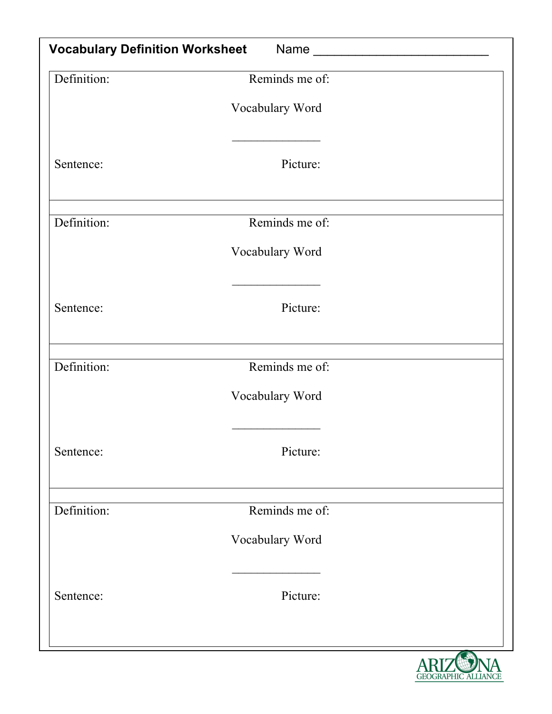| <b>Vocabulary Definition Worksheet</b> |                 |   |  |  |
|----------------------------------------|-----------------|---|--|--|
| Definition:                            | Reminds me of:  |   |  |  |
|                                        | Vocabulary Word |   |  |  |
| Sentence:                              | Picture:        |   |  |  |
| Definition:                            | Reminds me of:  |   |  |  |
|                                        | Vocabulary Word |   |  |  |
| Sentence:                              | Picture:        |   |  |  |
| Definition:                            | Reminds me of:  |   |  |  |
|                                        | Vocabulary Word |   |  |  |
| Sentence:                              | Picture:        |   |  |  |
| Definition:                            | Reminds me of:  |   |  |  |
|                                        | Vocabulary Word |   |  |  |
| Sentence:                              | Picture:        |   |  |  |
|                                        |                 | A |  |  |

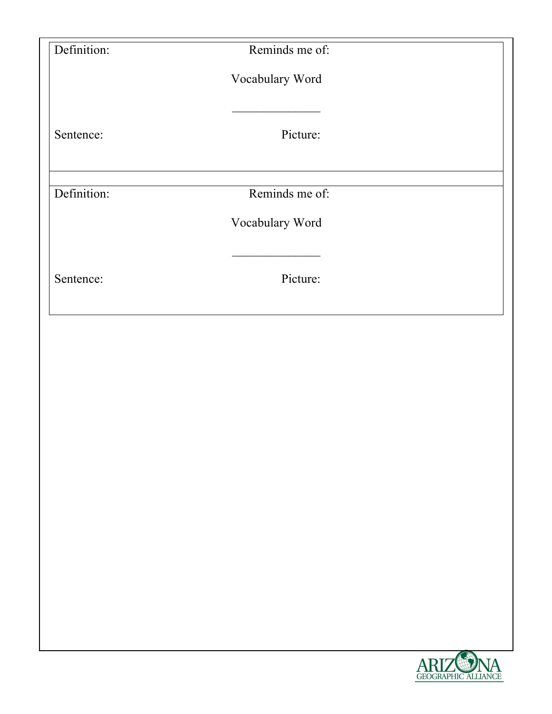| Definition: | Reminds me of:  |  |
|-------------|-----------------|--|
|             | Vocabulary Word |  |
| Sentence:   | Picture:        |  |
| Definition: | Reminds me of:  |  |
|             | Vocabulary Word |  |
| Sentence:   | Picture:        |  |
|             |                 |  |
|             |                 |  |
|             |                 |  |
|             |                 |  |
|             |                 |  |

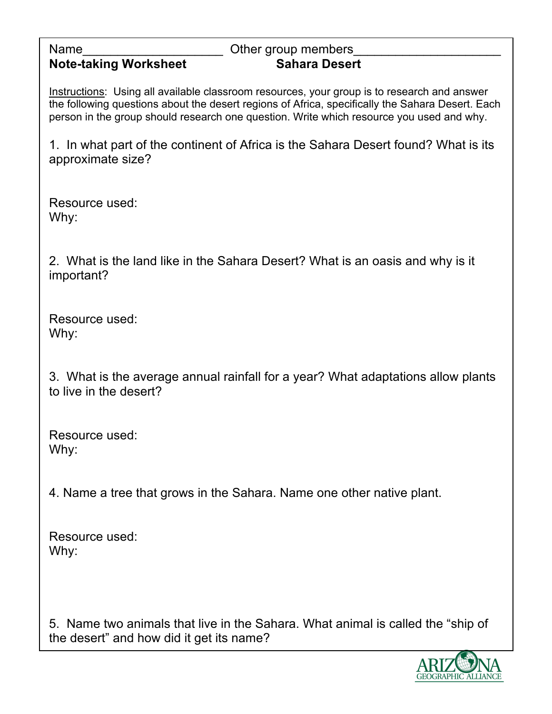### **Note-taking Worksheet Sahara Desert**

# Name **Name Name Name name in the Secure 2 Secure 2 Secure 2 Secure 2 Secure 2 Secure 2 Secure 2 Secure 2 Secure 2 Secure 2 Secure 2 Secure 2 Secure 2 Secure 2 Secure 2 Secure 2 Secure 2 Secure 2 Secure 2 Secure 2 Sec**

Instructions: Using all available classroom resources, your group is to research and answer the following questions about the desert regions of Africa, specifically the Sahara Desert. Each person in the group should research one question. Write which resource you used and why.

1. In what part of the continent of Africa is the Sahara Desert found? What is its approximate size?

Resource used: Why:

2. What is the land like in the Sahara Desert? What is an oasis and why is it important?

Resource used: Why:

3. What is the average annual rainfall for a year? What adaptations allow plants to live in the desert?

Resource used: Why:

4. Name a tree that grows in the Sahara. Name one other native plant.

Resource used: Why:

5. Name two animals that live in the Sahara. What animal is called the "ship of the desert" and how did it get its name?

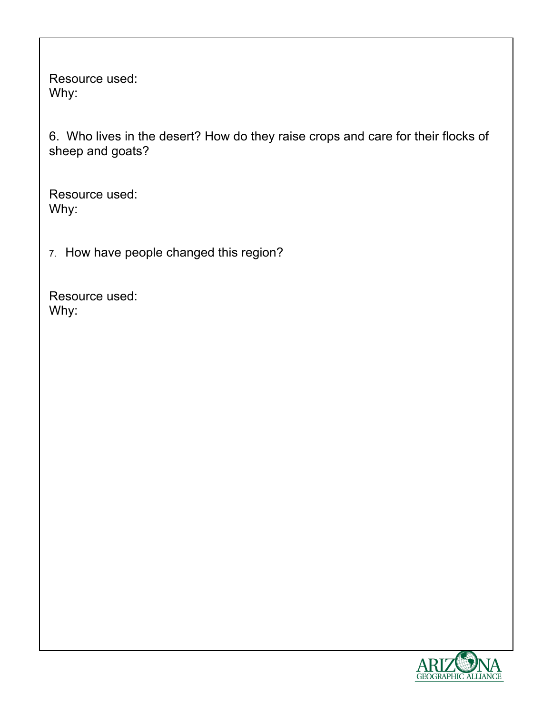6. Who lives in the desert? How do they raise crops and care for their flocks of sheep and goats?

Resource used: Why:

7. How have people changed this region?

Resource used: Why:

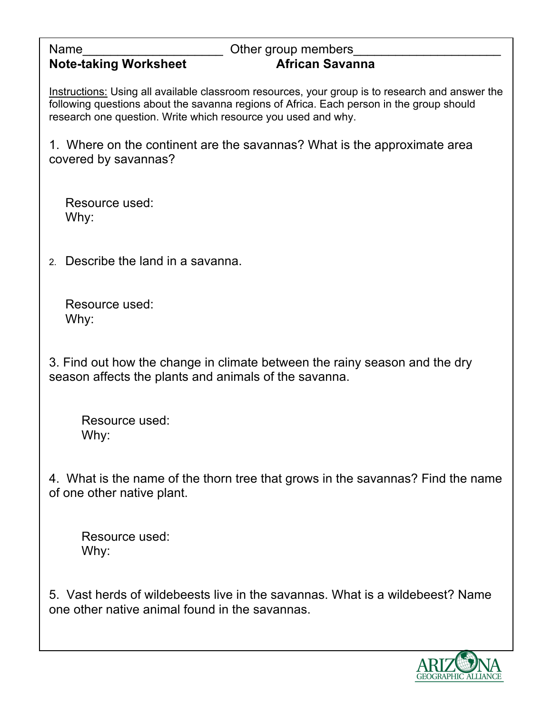#### **Note-taking Worksheet African Savanna**

## Name **Name Name Name name in the Secure 2 Secure 2 Secure 2 Secure 2 Secure 2 Secure 2 Secure 2 Secure 2 Secure 2 Secure 2 Secure 2 Secure 2 Secure 2 Secure 2 Secure 2 Secure 2 Secure 2 Secure 2 Secure 2 Secure 2 Sec**

Instructions: Using all available classroom resources, your group is to research and answer the following questions about the savanna regions of Africa. Each person in the group should research one question. Write which resource you used and why.

1. Where on the continent are the savannas? What is the approximate area covered by savannas?

Resource used: Why:

2. Describe the land in a savanna.

Resource used: Why:

3. Find out how the change in climate between the rainy season and the dry season affects the plants and animals of the savanna.

Resource used: Why:

4. What is the name of the thorn tree that grows in the savannas? Find the name of one other native plant.

Resource used: Why:

5. Vast herds of wildebeests live in the savannas. What is a wildebeest? Name one other native animal found in the savannas.

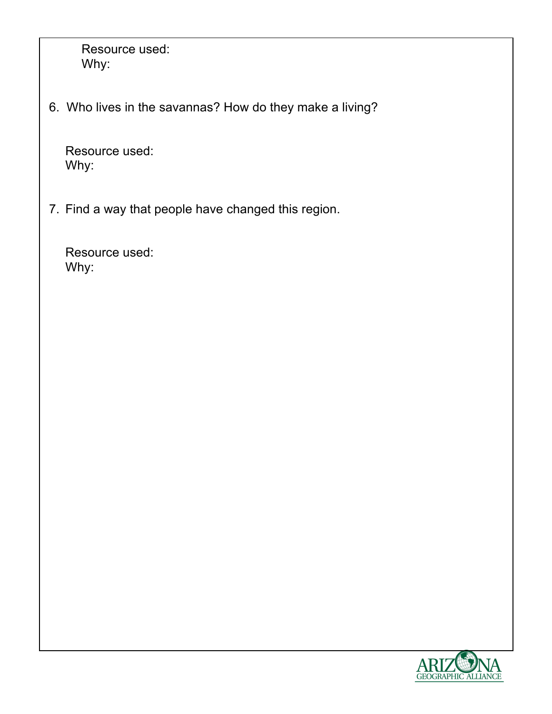6. Who lives in the savannas? How do they make a living?

Resource used: Why:

7. Find a way that people have changed this region.

Resource used: Why:

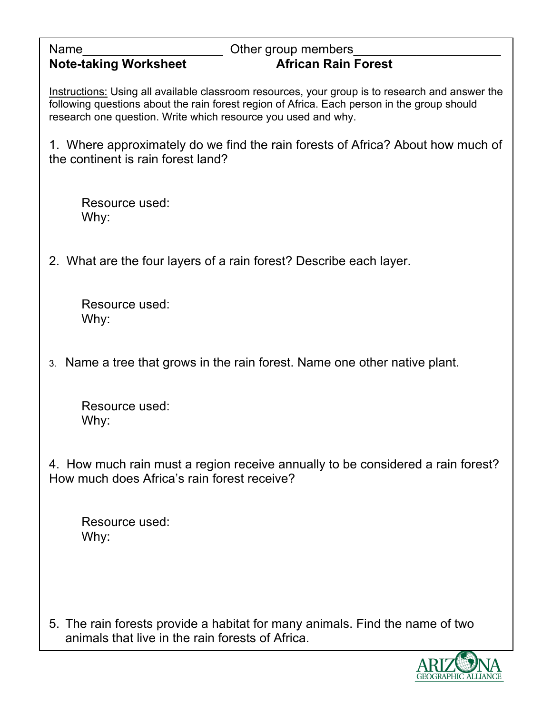| Other group members<br>Name<br><b>Note-taking Worksheet</b><br><b>African Rain Forest</b>                                                                                                                                                                       |
|-----------------------------------------------------------------------------------------------------------------------------------------------------------------------------------------------------------------------------------------------------------------|
| Instructions: Using all available classroom resources, your group is to research and answer the<br>following questions about the rain forest region of Africa. Each person in the group should<br>research one question. Write which resource you used and why. |
| 1. Where approximately do we find the rain forests of Africa? About how much of<br>the continent is rain forest land?                                                                                                                                           |
| Resource used:<br>Why:                                                                                                                                                                                                                                          |
| 2. What are the four layers of a rain forest? Describe each layer.                                                                                                                                                                                              |
| Resource used:<br>Why:                                                                                                                                                                                                                                          |
| 3. Name a tree that grows in the rain forest. Name one other native plant.                                                                                                                                                                                      |
| Resource used:<br>Why:                                                                                                                                                                                                                                          |
| 4. How much rain must a region receive annually to be considered a rain forest?<br>How much does Africa's rain forest receive?                                                                                                                                  |

5. The rain forests provide a habitat for many animals. Find the name of two animals that live in the rain forests of Africa.

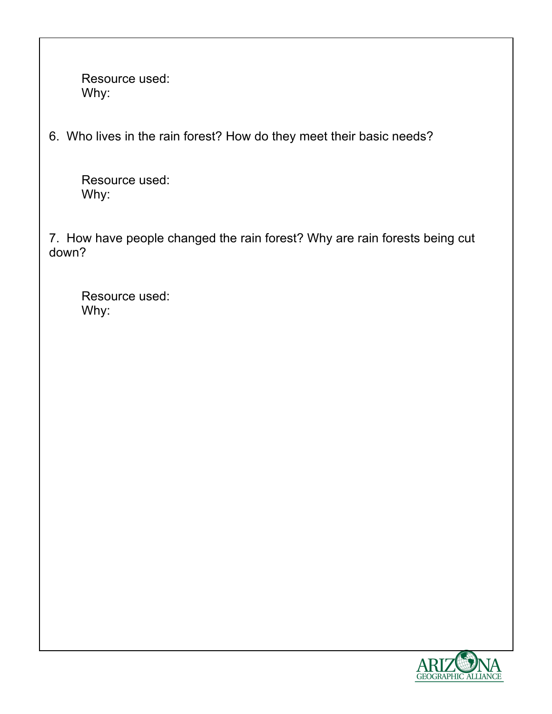6. Who lives in the rain forest? How do they meet their basic needs?

Resource used: Why:

7. How have people changed the rain forest? Why are rain forests being cut down?

Resource used: Why:

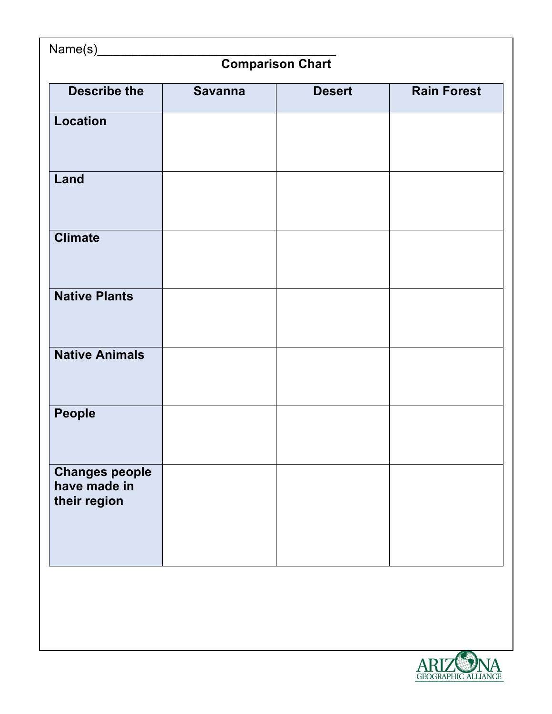| Name(s)_<br><b>Comparison Chart</b>                   |  |  |  |  |  |
|-------------------------------------------------------|--|--|--|--|--|
|                                                       |  |  |  |  |  |
| <b>Location</b>                                       |  |  |  |  |  |
| Land                                                  |  |  |  |  |  |
| <b>Climate</b>                                        |  |  |  |  |  |
| <b>Native Plants</b>                                  |  |  |  |  |  |
| <b>Native Animals</b>                                 |  |  |  |  |  |
| People                                                |  |  |  |  |  |
| <b>Changes people</b><br>have made in<br>their region |  |  |  |  |  |